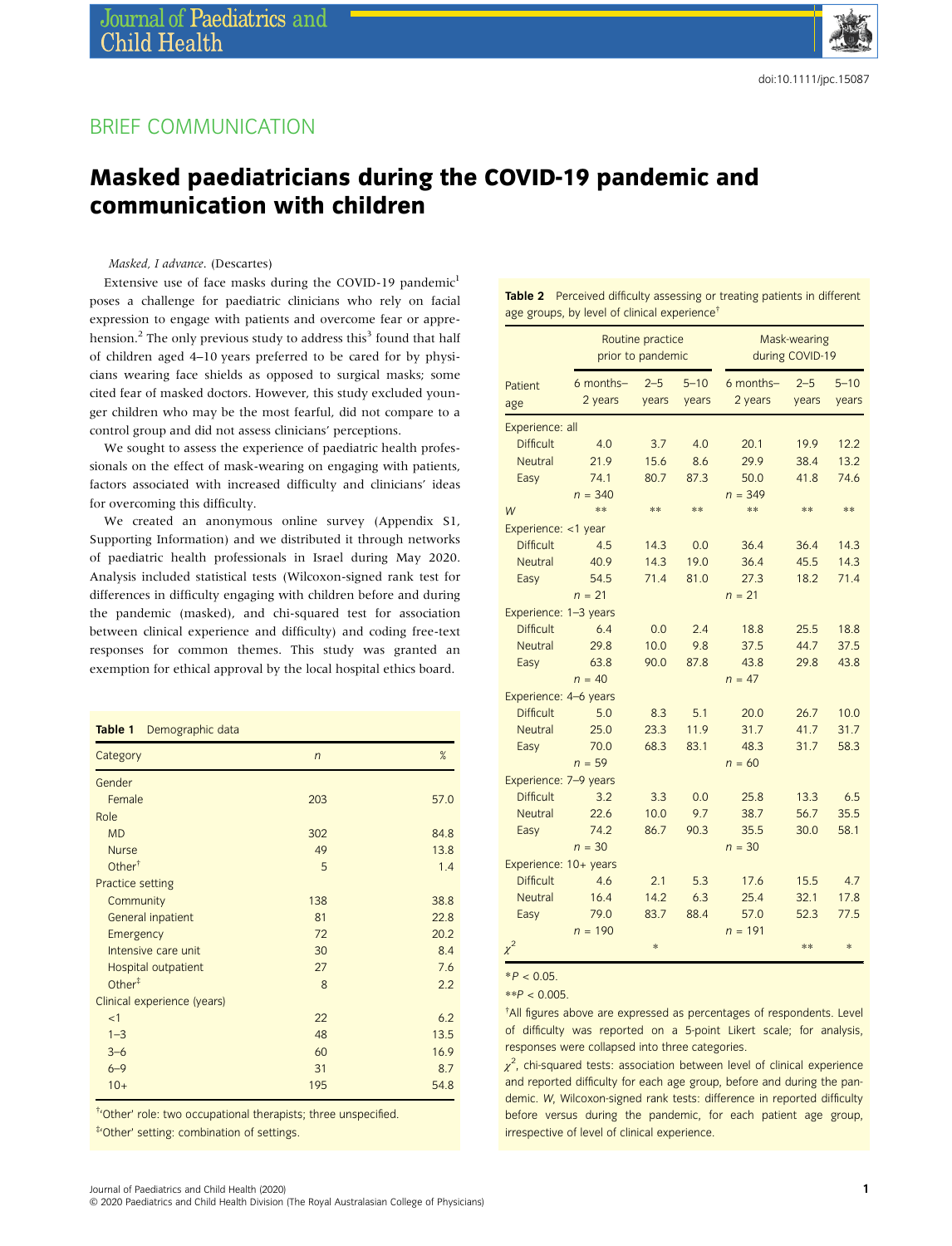# BRIEF COMMUNICATION

# Masked paediatricians during the COVID-19 pandemic and communication with children

Masked, I advance. (Descartes)

Extensive use of face masks during the COVID-19 pandemic<sup>1</sup> poses a challenge for paediatric clinicians who rely on facial expression to engage with patients and overcome fear or apprehension.<sup>2</sup> The only previous study to address this<sup>3</sup> found that half of children aged 4–10 years preferred to be cared for by physicians wearing face shields as opposed to surgical masks; some cited fear of masked doctors. However, this study excluded younger children who may be the most fearful, did not compare to a control group and did not assess clinicians' perceptions.

We sought to assess the experience of paediatric health professionals on the effect of mask-wearing on engaging with patients, factors associated with increased difficulty and clinicians' ideas for overcoming this difficulty.

We created an anonymous online survey (Appendix S1, Supporting Information) and we distributed it through networks of paediatric health professionals in Israel during May 2020. Analysis included statistical tests (Wilcoxon-signed rank test for differences in difficulty engaging with children before and during the pandemic (masked), and chi-squared test for association between clinical experience and difficulty) and coding free-text responses for common themes. This study was granted an exemption for ethical approval by the local hospital ethics board.

|  | Table 1 |  | Demographic data |  |
|--|---------|--|------------------|--|
|--|---------|--|------------------|--|

| Category                    | $\overline{n}$ | $\%$ |  |
|-----------------------------|----------------|------|--|
| Gender                      |                |      |  |
| Female                      | 203            | 57.0 |  |
| Role                        |                |      |  |
| <b>MD</b>                   | 302            | 84.8 |  |
| <b>Nurse</b>                | 49             | 13.8 |  |
| Other $†$                   | 5              | 1.4  |  |
| Practice setting            |                |      |  |
| Community                   | 138            | 38.8 |  |
| General inpatient           | 81             | 22.8 |  |
| Emergency                   | 72             | 20.2 |  |
| Intensive care unit         | 30             | 8.4  |  |
| Hospital outpatient         | 27             | 7.6  |  |
| Other $\ddagger$            | 8              | 2.2  |  |
| Clinical experience (years) |                |      |  |
| <1                          | 22             | 6.2  |  |
| $1 - 3$                     | 48             | 13.5 |  |
| $3 - 6$                     | 60             | 16.9 |  |
| $6 - 9$                     | 31             | 8.7  |  |
| $10+$                       | 195            | 54.8 |  |

† 'Other' role: two occupational therapists; three unspecified.

‡ 'Other' setting: combination of settings.

Table 2 Perceived difficulty assessing or treating patients in different age groups, by level of clinical experience†

|                       |             | Routine practice<br>prior to pandemic |          | Mask-wearing<br>during COVID-19 |         |          |
|-----------------------|-------------|---------------------------------------|----------|---------------------------------|---------|----------|
| Patient               | $6$ months- | $2 - 5$                               | $5 - 10$ | 6 months-                       | $2 - 5$ | $5 - 10$ |
| age                   | 2 years     | years                                 | years    | 2 years                         | years   | years    |
| Experience: all       |             |                                       |          |                                 |         |          |
| <b>Difficult</b>      | 4.0         | 3.7                                   | 4.0      | 20.1                            | 19.9    | 12.2     |
| <b>Neutral</b>        | 21.9        | 15.6                                  | 8.6      | 29.9                            | 38.4    | 13.2     |
| Easy                  | 74.1        | 80.7                                  | 87.3     | 50.0                            | 41.8    | 74.6     |
|                       | $n = 340$   |                                       |          | $n = 349$                       |         |          |
| W                     | $**$        | **                                    | **       | **                              | **      | **       |
| Experience: <1 year   |             |                                       |          |                                 |         |          |
| <b>Difficult</b>      | 4.5         | 14.3                                  | 0.0      | 36.4                            | 36.4    | 14.3     |
| <b>Neutral</b>        | 40.9        | 14.3                                  | 19.0     | 36.4                            | 45.5    | 14.3     |
| Easy                  | 54.5        | 71.4                                  | 81.0     | 27.3                            | 18.2    | 71.4     |
|                       | $n = 21$    |                                       |          | $n = 21$                        |         |          |
| Experience: 1-3 years |             |                                       |          |                                 |         |          |
| <b>Difficult</b>      | 6.4         | 0.0                                   | 2.4      | 18.8                            | 25.5    | 18.8     |
| <b>Neutral</b>        | 29.8        | 10.0                                  | 9.8      | 37.5                            | 44.7    | 37.5     |
| Easy                  | 63.8        | 90.0                                  | 87.8     | 43.8                            | 29.8    | 43.8     |
|                       | $n = 40$    |                                       |          | $n = 47$                        |         |          |
| Experience: 4-6 years |             |                                       |          |                                 |         |          |
| <b>Difficult</b>      | 5.0         | 8.3                                   | 5.1      | 20.0                            | 26.7    | 10.0     |
| <b>Neutral</b>        | 25.0        | 23.3                                  | 11.9     | 31.7                            | 41.7    | 31.7     |
| Easy                  | 70.0        | 68.3                                  | 83.1     | 48.3                            | 31.7    | 58.3     |
|                       | $n = 59$    |                                       |          | $n = 60$                        |         |          |
| Experience: 7-9 years |             |                                       |          |                                 |         |          |
| <b>Difficult</b>      | 3.2         | 3.3                                   | 0.0      | 25.8                            | 13.3    | 6.5      |
| <b>Neutral</b>        | 22.6        | 10.0                                  | 9.7      | 38.7                            | 56.7    | 35.5     |
| Easy                  | 74.2        | 86.7                                  | 90.3     | 35.5                            | 30.0    | 58.1     |
|                       | $n = 30$    |                                       |          | $n = 30$                        |         |          |
| Experience: 10+ years |             |                                       |          |                                 |         |          |
| <b>Difficult</b>      | 4.6         | 2.1                                   | 5.3      | 17.6                            | 15.5    | 4.7      |
| <b>Neutral</b>        | 16.4        | 14.2                                  | 6.3      | 25.4                            | 32.1    | 17.8     |
| Easy                  | 79.0        | 83.7                                  | 88.4     | 57.0                            | 52.3    | 77.5     |
|                       | $n = 190$   |                                       |          | $n = 191$                       |         |          |
| $\chi^2$              |             | *                                     |          |                                 | **      | *        |

 $*P < 0.05$ .

 $*$  $P < 0.005$ 

† All figures above are expressed as percentages of respondents. Level of difficulty was reported on a 5-point Likert scale; for analysis, responses were collapsed into three categories.

 $\chi^2$ , chi-squared tests: association between level of clinical experience and reported difficulty for each age group, before and during the pandemic. W, Wilcoxon-signed rank tests: difference in reported difficulty before versus during the pandemic, for each patient age group, irrespective of level of clinical experience.